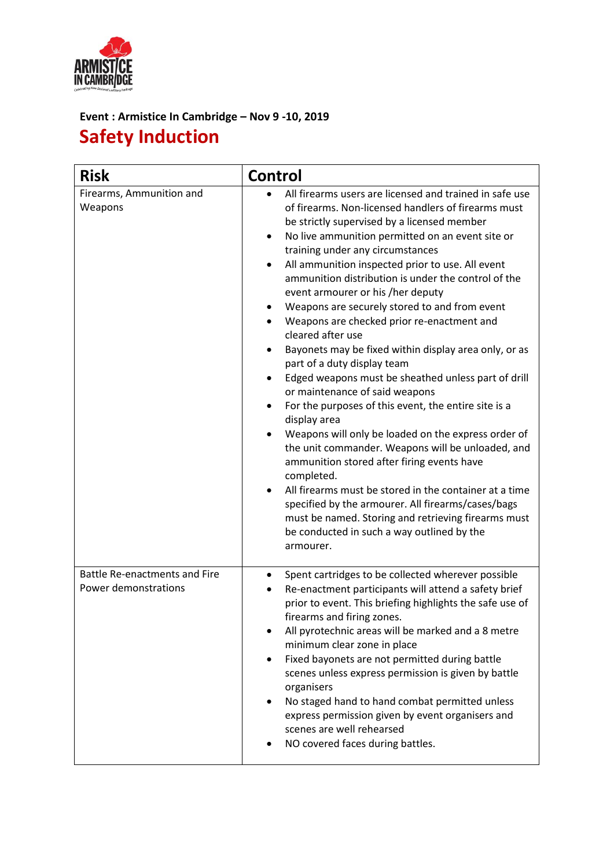

## **Event : Armistice In Cambridge – Nov 9 -10, 2019 Safety Induction**

| <b>Risk</b>                                                  | <b>Control</b>                                                                                                                                                                                                                                                                                                                                                                                                                                                                                                                                                                                                                                                                                                                                                                                                                                                                                                                                                                                                                                                                                                                                                                                                         |
|--------------------------------------------------------------|------------------------------------------------------------------------------------------------------------------------------------------------------------------------------------------------------------------------------------------------------------------------------------------------------------------------------------------------------------------------------------------------------------------------------------------------------------------------------------------------------------------------------------------------------------------------------------------------------------------------------------------------------------------------------------------------------------------------------------------------------------------------------------------------------------------------------------------------------------------------------------------------------------------------------------------------------------------------------------------------------------------------------------------------------------------------------------------------------------------------------------------------------------------------------------------------------------------------|
| Firearms, Ammunition and<br>Weapons                          | All firearms users are licensed and trained in safe use<br>of firearms. Non-licensed handlers of firearms must<br>be strictly supervised by a licensed member<br>No live ammunition permitted on an event site or<br>$\bullet$<br>training under any circumstances<br>All ammunition inspected prior to use. All event<br>ammunition distribution is under the control of the<br>event armourer or his /her deputy<br>Weapons are securely stored to and from event<br>Weapons are checked prior re-enactment and<br>cleared after use<br>Bayonets may be fixed within display area only, or as<br>part of a duty display team<br>Edged weapons must be sheathed unless part of drill<br>or maintenance of said weapons<br>For the purposes of this event, the entire site is a<br>display area<br>Weapons will only be loaded on the express order of<br>the unit commander. Weapons will be unloaded, and<br>ammunition stored after firing events have<br>completed.<br>All firearms must be stored in the container at a time<br>$\bullet$<br>specified by the armourer. All firearms/cases/bags<br>must be named. Storing and retrieving firearms must<br>be conducted in such a way outlined by the<br>armourer. |
| <b>Battle Re-enactments and Fire</b><br>Power demonstrations | Spent cartridges to be collected wherever possible<br>٠<br>Re-enactment participants will attend a safety brief<br>$\bullet$<br>prior to event. This briefing highlights the safe use of<br>firearms and firing zones.<br>All pyrotechnic areas will be marked and a 8 metre<br>minimum clear zone in place<br>Fixed bayonets are not permitted during battle<br>scenes unless express permission is given by battle<br>organisers<br>No staged hand to hand combat permitted unless<br>express permission given by event organisers and<br>scenes are well rehearsed<br>NO covered faces during battles.                                                                                                                                                                                                                                                                                                                                                                                                                                                                                                                                                                                                              |